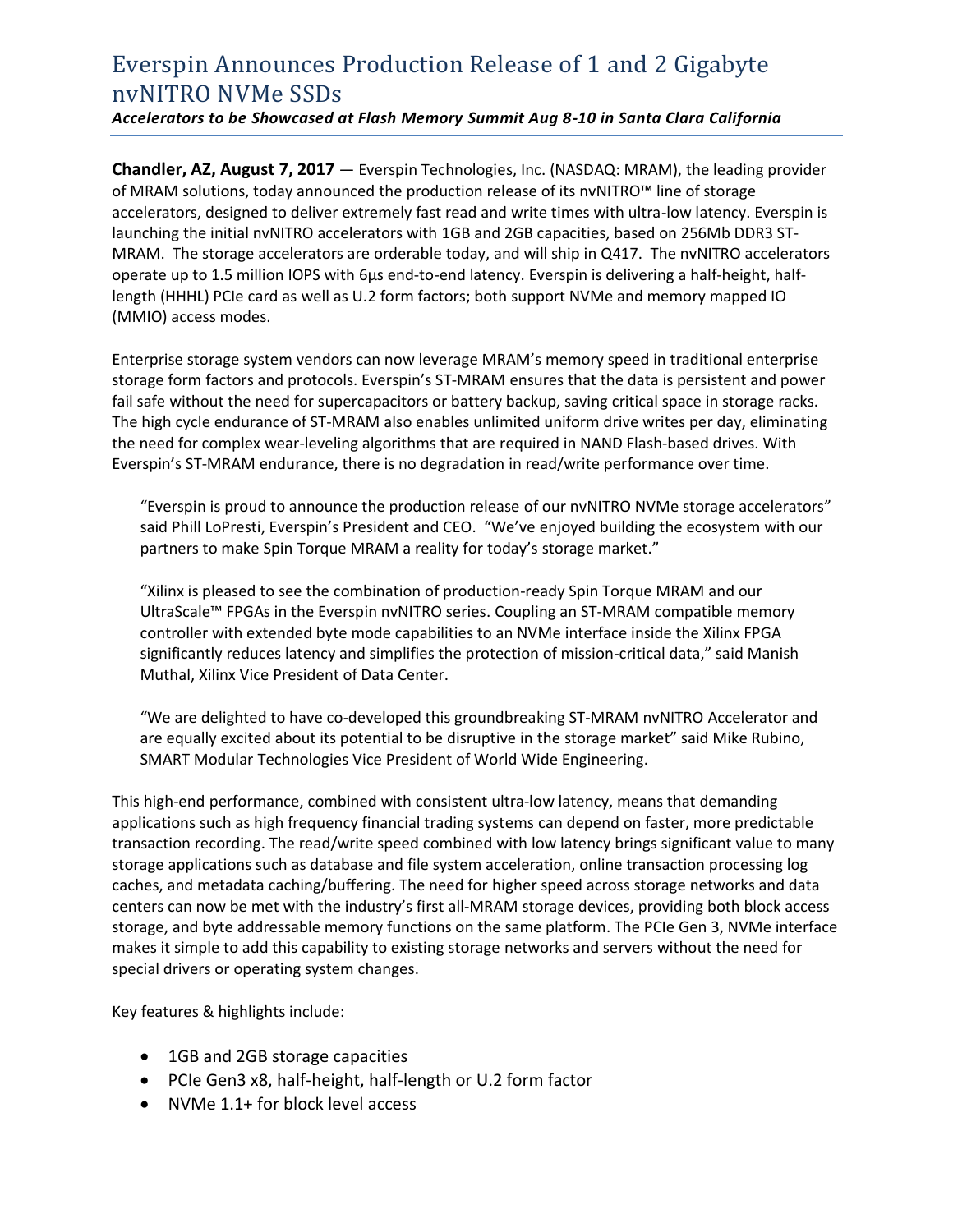# Everspin Announces Production Release of 1 and 2 Gigabyte nvNITRO NVMe SSDs

*Accelerators to be Showcased at Flash Memory Summit Aug 8-10 in Santa Clara California*

**Chandler, AZ, August 7, 2017** — Everspin Technologies, Inc. (NASDAQ: MRAM), the leading provider of MRAM solutions, today announced the production release of its nvNITRO™ line of storage accelerators, designed to deliver extremely fast read and write times with ultra-low latency. Everspin is launching the initial nvNITRO accelerators with 1GB and 2GB capacities, based on 256Mb DDR3 ST-MRAM. The storage accelerators are orderable today, and will ship in Q417. The nvNITRO accelerators operate up to 1.5 million IOPS with 6μs end-to-end latency. Everspin is delivering a half-height, halflength (HHHL) PCIe card as well as U.2 form factors; both support NVMe and memory mapped IO (MMIO) access modes.

Enterprise storage system vendors can now leverage MRAM's memory speed in traditional enterprise storage form factors and protocols. Everspin's ST-MRAM ensures that the data is persistent and power fail safe without the need for supercapacitors or battery backup, saving critical space in storage racks. The high cycle endurance of ST-MRAM also enables unlimited uniform drive writes per day, eliminating the need for complex wear-leveling algorithms that are required in NAND Flash-based drives. With Everspin's ST-MRAM endurance, there is no degradation in read/write performance over time.

"Everspin is proud to announce the production release of our nvNITRO NVMe storage accelerators" said Phill LoPresti, Everspin's President and CEO. "We've enjoyed building the ecosystem with our partners to make Spin Torque MRAM a reality for today's storage market."

"Xilinx is pleased to see the combination of production-ready Spin Torque MRAM and our UltraScale™ FPGAs in the Everspin nvNITRO series. Coupling an ST-MRAM compatible memory controller with extended byte mode capabilities to an NVMe interface inside the Xilinx FPGA significantly reduces latency and simplifies the protection of mission-critical data," said Manish Muthal, Xilinx Vice President of Data Center.

"We are delighted to have co-developed this groundbreaking ST-MRAM nvNITRO Accelerator and are equally excited about its potential to be disruptive in the storage market" said Mike Rubino, SMART Modular Technologies Vice President of World Wide Engineering.

This high-end performance, combined with consistent ultra-low latency, means that demanding applications such as high frequency financial trading systems can depend on faster, more predictable transaction recording. The read/write speed combined with low latency brings significant value to many storage applications such as database and file system acceleration, online transaction processing log caches, and metadata caching/buffering. The need for higher speed across storage networks and data centers can now be met with the industry's first all-MRAM storage devices, providing both block access storage, and byte addressable memory functions on the same platform. The PCIe Gen 3, NVMe interface makes it simple to add this capability to existing storage networks and servers without the need for special drivers or operating system changes.

Key features & highlights include:

- 1GB and 2GB storage capacities
- PCIe Gen3 x8, half-height, half-length or U.2 form factor
- NVMe 1.1+ for block level access